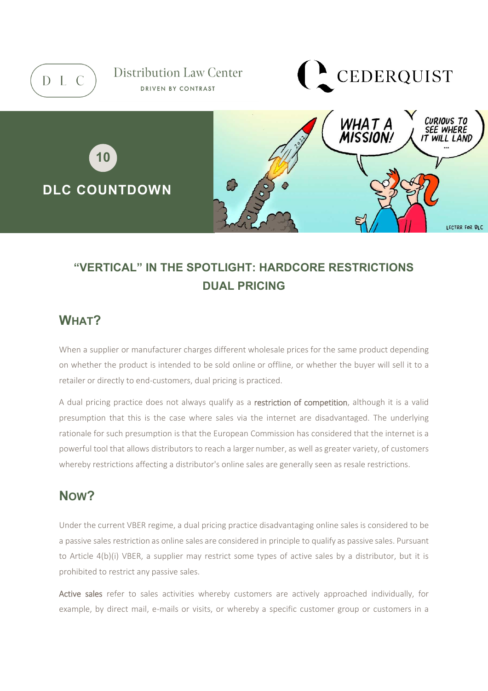

# **"VERTICAL" IN THE SPOTLIGHT: HARDCORE RESTRICTIONS DUAL PRICING**

### **WHAT?**

When a supplier or manufacturer charges different wholesale prices for the same product depending on whether the product is intended to be sold online or offline, or whether the buyer will sell it to a retailer or directly to end-customers, dual pricing is practiced.

A dual pricing practice does not always qualify as a restriction of competition, although it is a valid presumption that this is the case where sales via the internet are disadvantaged. The underlying rationale for such presumption is that the European Commission has considered that the internet is a powerful tool that allows distributors to reach a larger number, as well as greater variety, of customers whereby restrictions affecting a distributor's online sales are generally seen as resale restrictions.

### **NOW?**

Under the current VBER regime, a dual pricing practice disadvantaging online sales is considered to be a passive sales restriction as online sales are considered in principle to qualify as passive sales. Pursuant to Article 4(b)(i) VBER, a supplier may restrict some types of active sales by a distributor, but it is prohibited to restrict any passive sales.

Active sales refer to sales activities whereby customers are actively approached individually, for example, by direct mail, e-mails or visits, or whereby a specific customer group or customers in a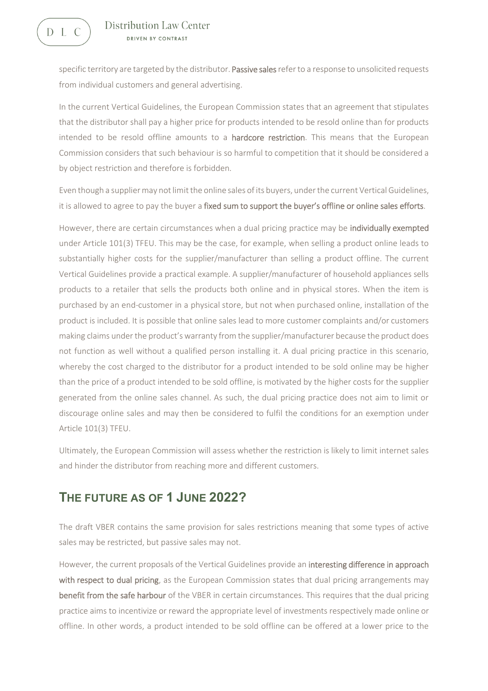D L C

specific territory are targeted by the distributor. Passive sales refer to a response to unsolicited requests from individual customers and general advertising.

In the current Vertical Guidelines, the European Commission states that an agreement that stipulates that the distributor shall pay a higher price for products intended to be resold online than for products intended to be resold offline amounts to a hardcore restriction. This means that the European Commission considers that such behaviour is so harmful to competition that it should be considered a by object restriction and therefore is forbidden.

Even though a supplier may not limit the online sales of its buyers, under the current Vertical Guidelines, it is allowed to agree to pay the buyer a fixed sum to support the buyer's offline or online sales efforts.

However, there are certain circumstances when a dual pricing practice may be individually exempted under Article 101(3) TFEU. This may be the case, for example, when selling a product online leads to substantially higher costs for the supplier/manufacturer than selling a product offline. The current Vertical Guidelines provide a practical example. A supplier/manufacturer of household appliances sells products to a retailer that sells the products both online and in physical stores. When the item is purchased by an end-customer in a physical store, but not when purchased online, installation of the product is included. It is possible that online sales lead to more customer complaints and/or customers making claims under the product's warranty from the supplier/manufacturer because the product does not function as well without a qualified person installing it. A dual pricing practice in this scenario, whereby the cost charged to the distributor for a product intended to be sold online may be higher than the price of a product intended to be sold offline, is motivated by the higher costs for the supplier generated from the online sales channel. As such, the dual pricing practice does not aim to limit or discourage online sales and may then be considered to fulfil the conditions for an exemption under Article 101(3) TFEU.

Ultimately, the European Commission will assess whether the restriction is likely to limit internet sales and hinder the distributor from reaching more and different customers.

#### **THE FUTURE AS OF 1 JUNE 2022?**

The draft VBER contains the same provision for sales restrictions meaning that some types of active sales may be restricted, but passive sales may not.

However, the current proposals of the Vertical Guidelines provide an interesting difference in approach with respect to dual pricing, as the European Commission states that dual pricing arrangements may benefit from the safe harbour of the VBER in certain circumstances. This requires that the dual pricing practice aims to incentivize or reward the appropriate level of investments respectively made online or offline. In other words, a product intended to be sold offline can be offered at a lower price to the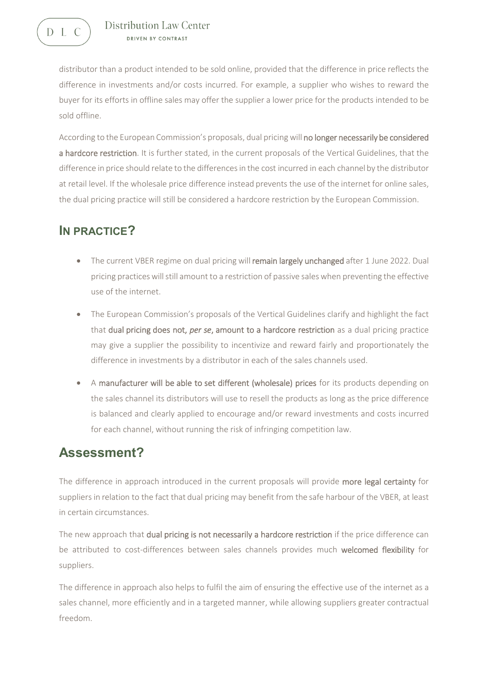distributor than a product intended to be sold online, provided that the difference in price reflects the difference in investments and/or costs incurred. For example, a supplier who wishes to reward the buyer for its efforts in offline sales may offer the supplier a lower price for the products intended to be sold offline.

According to the European Commission's proposals, dual pricing will no longer necessarily be considered a hardcore restriction. It is further stated, in the current proposals of the Vertical Guidelines, that the difference in price should relate to the differences in the cost incurred in each channel by the distributor at retail level. If the wholesale price difference instead prevents the use of the internet for online sales, the dual pricing practice will still be considered a hardcore restriction by the European Commission.

## **IN PRACTICE?**

- The current VBER regime on dual pricing will remain largely unchanged after 1 June 2022. Dual pricing practices will still amount to a restriction of passive sales when preventing the effective use of the internet.
- The European Commission's proposals of the Vertical Guidelines clarify and highlight the fact that dual pricing does not, *per se*, amount to a hardcore restriction as a dual pricing practice may give a supplier the possibility to incentivize and reward fairly and proportionately the difference in investments by a distributor in each of the sales channels used.
- A manufacturer will be able to set different (wholesale) prices for its products depending on the sales channel its distributors will use to resell the products as long as the price difference is balanced and clearly applied to encourage and/or reward investments and costs incurred for each channel, without running the risk of infringing competition law.

## **Assessment?**

The difference in approach introduced in the current proposals will provide more legal certainty for suppliers in relation to the fact that dual pricing may benefit from the safe harbour of the VBER, at least in certain circumstances.

The new approach that dual pricing is not necessarily a hardcore restriction if the price difference can be attributed to cost-differences between sales channels provides much welcomed flexibility for suppliers.

The difference in approach also helps to fulfil the aim of ensuring the effective use of the internet as a sales channel, more efficiently and in a targeted manner, while allowing suppliers greater contractual freedom.